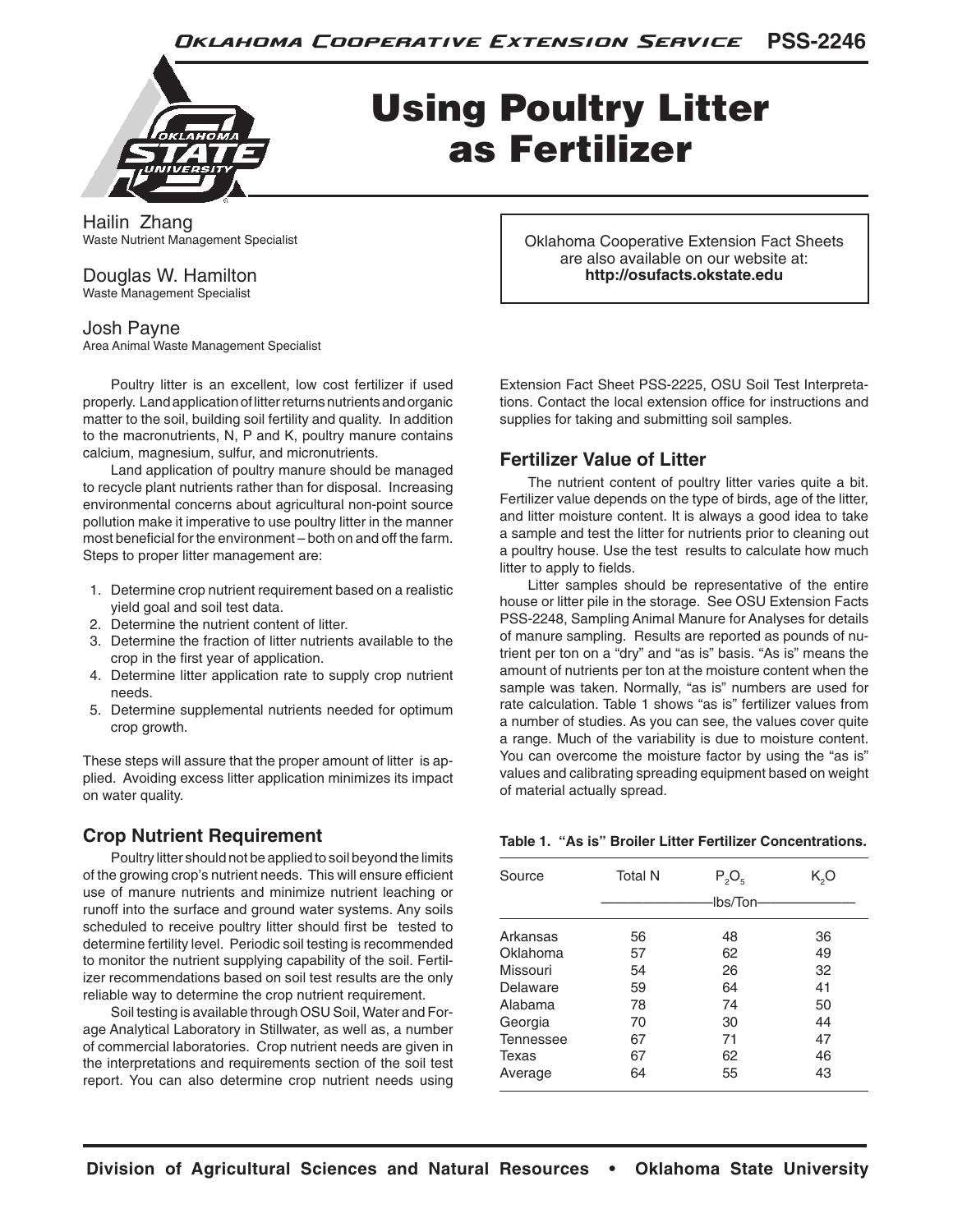

# Using Poultry Litter as Fertilizer

Hailin Zhang Waste Nutrient Management Specialist

# Douglas W. Hamilton

Waste Management Specialist

# Josh Payne

Area Animal Waste Management Specialist

Poultry litter is an excellent, low cost fertilizer if used properly. Land application of litter returns nutrients and organic matter to the soil, building soil fertility and quality. In addition to the macronutrients, N, P and K, poultry manure contains calcium, magnesium, sulfur, and micronutrients.

Land application of poultry manure should be managed to recycle plant nutrients rather than for disposal. Increasing environmental concerns about agricultural non-point source pollution make it imperative to use poultry litter in the manner most beneficial for the environment – both on and off the farm. Steps to proper litter management are:

- 1. Determine crop nutrient requirement based on a realistic yield goal and soil test data.
- 2. Determine the nutrient content of litter.
- 3. Determine the fraction of litter nutrients available to the crop in the first year of application.
- 4. Determine litter application rate to supply crop nutrient needs.
- 5. Determine supplemental nutrients needed for optimum crop growth.

These steps will assure that the proper amount of litter is applied. Avoiding excess litter application minimizes its impact on water quality.

# **Crop Nutrient Requirement**

Poultry litter should not be applied to soil beyond the limits of the growing crop's nutrient needs. This will ensure efficient use of manure nutrients and minimize nutrient leaching or runoff into the surface and ground water systems. Any soils scheduled to receive poultry litter should first be tested to determine fertility level. Periodic soil testing is recommended to monitor the nutrient supplying capability of the soil. Fertilizer recommendations based on soil test results are the only reliable way to determine the crop nutrient requirement.

Soil testing is available through OSU Soil, Water and Forage Analytical Laboratory in Stillwater, as well as, a number of commercial laboratories. Crop nutrient needs are given in the interpretations and requirements section of the soil test report. You can also determine crop nutrient needs using

Oklahoma Cooperative Extension Fact Sheets are also available on our website at: **http://osufacts.okstate.edu**

Extension Fact Sheet PSS-2225, OSU Soil Test Interpretations. Contact the local extension office for instructions and supplies for taking and submitting soil samples.

# **Fertilizer Value of Litter**

The nutrient content of poultry litter varies quite a bit. Fertilizer value depends on the type of birds, age of the litter, and litter moisture content. It is always a good idea to take a sample and test the litter for nutrients prior to cleaning out a poultry house. Use the test results to calculate how much litter to apply to fields.

Litter samples should be representative of the entire house or litter pile in the storage. See OSU Extension Facts PSS-2248, Sampling Animal Manure for Analyses for details of manure sampling. Results are reported as pounds of nutrient per ton on a "dry" and "as is" basis. "As is" means the amount of nutrients per ton at the moisture content when the sample was taken. Normally, "as is" numbers are used for rate calculation. Table 1 shows "as is" fertilizer values from a number of studies. As you can see, the values cover quite a range. Much of the variability is due to moisture content. You can overcome the moisture factor by using the "as is" values and calibrating spreading equipment based on weight of material actually spread.

#### **Table 1. "As is" Broiler Litter Fertilizer Concentrations.**

| Source           | <b>Total N</b> | $P_2O_5$        | K,O |
|------------------|----------------|-----------------|-----|
|                  |                | <b>Ibs/Ton-</b> |     |
| Arkansas         | 56             | 48              | 36  |
| Oklahoma         | 57             | 62              | 49  |
| Missouri         | 54             | 26              | 32  |
| Delaware         | 59             | 64              | 41  |
| Alabama          | 78             | 74              | 50  |
| Georgia          | 70             | 30              | 44  |
| <b>Tennessee</b> | 67             | 71              | 47  |
| Texas            | 67             | 62              | 46  |
| Average          | 64             | 55              | 43  |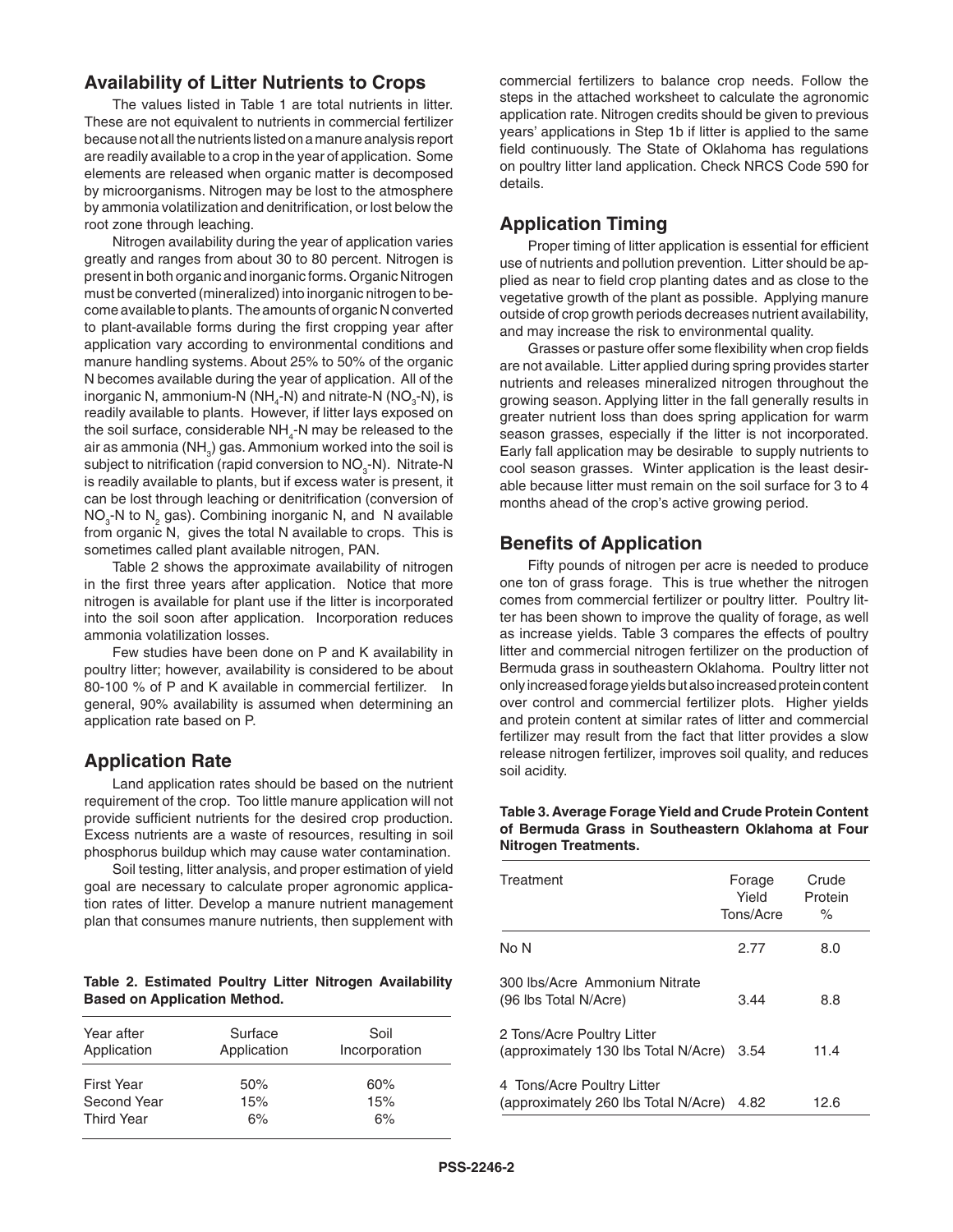### **Availability of Litter Nutrients to Crops**

The values listed in Table 1 are total nutrients in litter. These are not equivalent to nutrients in commercial fertilizer because not all the nutrients listed on a manure analysis report are readily available to a crop in the year of application. Some elements are released when organic matter is decomposed by microorganisms. Nitrogen may be lost to the atmosphere by ammonia volatilization and denitrification, or lost below the root zone through leaching.

Nitrogen availability during the year of application varies greatly and ranges from about 30 to 80 percent. Nitrogen is present in both organic and inorganic forms. Organic Nitrogen must be converted (mineralized) into inorganic nitrogen to become available to plants. The amounts of organic N converted to plant-available forms during the first cropping year after application vary according to environmental conditions and manure handling systems. About 25% to 50% of the organic N becomes available during the year of application. All of the inorganic N, ammonium-N (NH<sub>4</sub>-N) and nitrate-N (NO<sub>3</sub>-N), is readily available to plants. However, if litter lays exposed on the soil surface, considerable  $NH_{4}$ -N may be released to the air as ammonia (NH $_{\rm_3}$ ) gas. Ammonium worked into the soil is subject to nitrification (rapid conversion to NO<sub>3</sub>-N). Nitrate-N is readily available to plants, but if excess water is present, it can be lost through leaching or denitrification (conversion of  $NO<sub>3</sub>$ -N to  $N<sub>2</sub>$  gas). Combining inorganic N, and N available from organic N, gives the total N available to crops. This is sometimes called plant available nitrogen, PAN.

Table 2 shows the approximate availability of nitrogen in the first three years after application. Notice that more nitrogen is available for plant use if the litter is incorporated into the soil soon after application. Incorporation reduces ammonia volatilization losses.

Few studies have been done on P and K availability in poultry litter; however, availability is considered to be about 80-100 % of P and K available in commercial fertilizer. In general, 90% availability is assumed when determining an application rate based on P.

# **Application Rate**

Land application rates should be based on the nutrient requirement of the crop. Too little manure application will not provide sufficient nutrients for the desired crop production. Excess nutrients are a waste of resources, resulting in soil phosphorus buildup which may cause water contamination.

Soil testing, litter analysis, and proper estimation of yield goal are necessary to calculate proper agronomic application rates of litter. Develop a manure nutrient management plan that consumes manure nutrients, then supplement with

**Table 2. Estimated Poultry Litter Nitrogen Availability Based on Application Method.**

| Year after<br>Application | Surface<br>Application | Soil<br>Incorporation |  |  |
|---------------------------|------------------------|-----------------------|--|--|
| <b>First Year</b>         | 50%                    | 60%                   |  |  |
| Second Year               | 15%                    | 15%                   |  |  |
| <b>Third Year</b>         | 6%                     | 6%                    |  |  |

commercial fertilizers to balance crop needs. Follow the steps in the attached worksheet to calculate the agronomic application rate. Nitrogen credits should be given to previous years' applications in Step 1b if litter is applied to the same field continuously. The State of Oklahoma has regulations on poultry litter land application. Check NRCS Code 590 for details.

# **Application Timing**

Proper timing of litter application is essential for efficient use of nutrients and pollution prevention. Litter should be applied as near to field crop planting dates and as close to the vegetative growth of the plant as possible. Applying manure outside of crop growth periods decreases nutrient availability, and may increase the risk to environmental quality.

Grasses or pasture offer some flexibility when crop fields are not available. Litter applied during spring provides starter nutrients and releases mineralized nitrogen throughout the growing season. Applying litter in the fall generally results in greater nutrient loss than does spring application for warm season grasses, especially if the litter is not incorporated. Early fall application may be desirable to supply nutrients to cool season grasses. Winter application is the least desirable because litter must remain on the soil surface for 3 to 4 months ahead of the crop's active growing period.

# **Benefits of Application**

Fifty pounds of nitrogen per acre is needed to produce one ton of grass forage. This is true whether the nitrogen comes from commercial fertilizer or poultry litter. Poultry litter has been shown to improve the quality of forage, as well as increase yields. Table 3 compares the effects of poultry litter and commercial nitrogen fertilizer on the production of Bermuda grass in southeastern Oklahoma. Poultry litter not only increased forage yields but also increased protein content over control and commercial fertilizer plots. Higher yields and protein content at similar rates of litter and commercial fertilizer may result from the fact that litter provides a slow release nitrogen fertilizer, improves soil quality, and reduces soil acidity.

#### **Table 3. Average Forage Yield and Crude Protein Content of Bermuda Grass in Southeastern Oklahoma at Four Nitrogen Treatments.**

| Treatment                                                          | Forage<br>Yield<br>Tons/Acre | Crude<br>Protein<br>$\%$ |  |
|--------------------------------------------------------------------|------------------------------|--------------------------|--|
| No N                                                               | 2.77                         | 8.0                      |  |
| 300 lbs/Acre Ammonium Nitrate<br>(96 lbs Total N/Acre)             | 3.44                         | 8.8                      |  |
| 2 Tons/Acre Poultry Litter<br>(approximately 130 lbs Total N/Acre) | 3.54                         | 11.4                     |  |
| 4 Tons/Acre Poultry Litter<br>(approximately 260 lbs Total N/Acre) | 4.82                         | 12.6                     |  |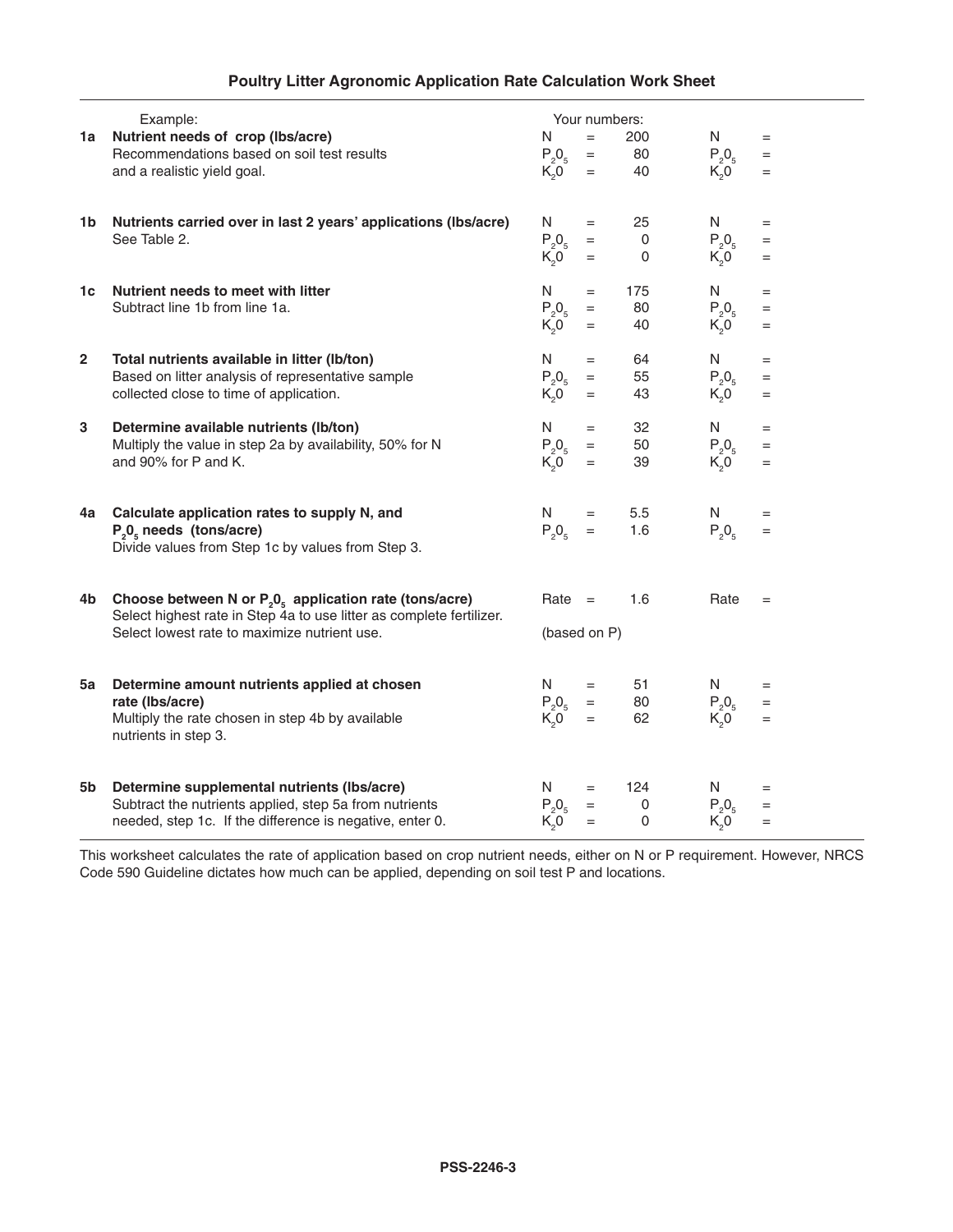| <b>Poultry Litter Agronomic Application Rate Calculation Work Sheet</b> |  |  |  |  |  |
|-------------------------------------------------------------------------|--|--|--|--|--|
|-------------------------------------------------------------------------|--|--|--|--|--|

| 1a           | Example:<br>Nutrient needs of crop (lbs/acre)<br>Recommendations based on soil test results<br>and a realistic yield goal.                                                        | Your numbers:<br>N<br>$=$<br>$P_{2}O_{5}$<br>$\equiv$<br>K <sub>2</sub> 0<br>$=$ | 200<br>80<br>40                         | N<br>$P_{2}O_{5}$<br>K <sub>2</sub> 0                      | $=$<br>$=$<br>$=$ |  |
|--------------|-----------------------------------------------------------------------------------------------------------------------------------------------------------------------------------|----------------------------------------------------------------------------------|-----------------------------------------|------------------------------------------------------------|-------------------|--|
| 1b           | Nutrients carried over in last 2 years' applications (Ibs/acre)<br>See Table 2.                                                                                                   | N<br>$=$<br>$P_2O_5$<br>$=$<br>$K_0$ <sup>O</sup><br>$=$                         | 25<br>0<br>0                            | N<br>$P_2O_5$<br>$K_0$                                     | $=$<br>$=$<br>$=$ |  |
| 1c           | Nutrient needs to meet with litter<br>Subtract line 1b from line 1a.                                                                                                              | N<br>$=$<br>$P_2O_5$<br>$\quad =$<br>K <sub>2</sub> 0<br>$=$                     | 175<br>80<br>40                         | N<br>$P_{2}O_{5}$<br>K <sub>2</sub> 0                      | $=$<br>$=$<br>$=$ |  |
| $\mathbf{2}$ | Total nutrients available in litter (lb/ton)<br>Based on litter analysis of representative sample<br>collected close to time of application.                                      | N<br>$=$<br>$P_2O_5$<br>$=$<br>$K_0$ <sup><math>\bar{O}</math></sup><br>$=$      | 64<br>55<br>43                          | N<br>$P_{2}O_{5}$<br>$K_0$ <sup><math>\bar{O}</math></sup> | $=$<br>$=$<br>$=$ |  |
| 3            | Determine available nutrients (lb/ton)<br>Multiply the value in step 2a by availability, 50% for N<br>and 90% for P and K.                                                        | N<br>$=$<br>$P_2O_5$<br>$=$<br>$K_0$ <sup>-</sup><br>$=$                         | 32<br>50<br>39                          | N<br>$P_2O_5$<br>$K_0$                                     | $=$<br>$=$<br>$=$ |  |
| 4a           | Calculate application rates to supply N, and<br>$P_0$ <sub>5</sub> needs (tons/acre)<br>Divide values from Step 1c by values from Step 3.                                         | N<br>$=$<br>$P_2O_5$<br>$=$                                                      | 5.5<br>1.6                              | N.<br>$P_0O_5$                                             | $=$<br>$=$        |  |
| 4b           | Choose between N or $P_2O_5$ application rate (tons/acre)<br>Select highest rate in Step 4a to use litter as complete fertilizer.<br>Select lowest rate to maximize nutrient use. | $Rate =$<br>(based on P)                                                         | 1.6                                     | Rate                                                       | $=$               |  |
| 5a           | Determine amount nutrients applied at chosen<br>rate (Ibs/acre)<br>Multiply the rate chosen in step 4b by available<br>nutrients in step 3.                                       | N.<br>$=$<br>$P_2O_5$<br>$=$<br>K <sub>2</sub> 0<br>$=$                          | 51<br>80<br>62                          | N.<br>$P_2O_5$<br>$K_0$ <sup>-</sup>                       | $=$<br>$=$<br>$=$ |  |
| 5b           | Determine supplemental nutrients (Ibs/acre)<br>Subtract the nutrients applied, step 5a from nutrients<br>needed, step 1c. If the difference is negative, enter 0.                 | N<br>$=$<br>$P_2O_5$<br>$=$<br>K <sub>2</sub> 0<br>$=$                           | 124<br>$\mathsf{O}\xspace$<br>$\pmb{0}$ | N<br>$P_2O_5$<br>K <sub>2</sub> 0                          | $=$<br>$=$<br>$=$ |  |

This worksheet calculates the rate of application based on crop nutrient needs, either on N or P requirement. However, NRCS Code 590 Guideline dictates how much can be applied, depending on soil test P and locations.